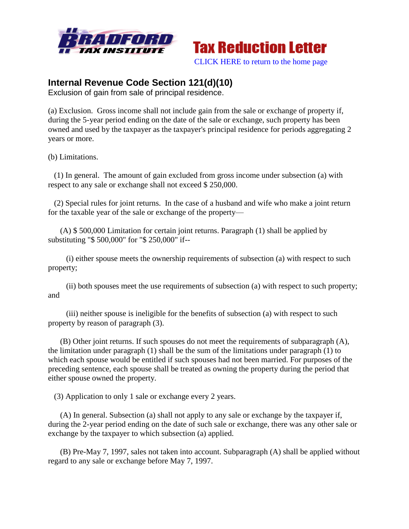



## **Internal Revenue Code Section 121(d)(10)**

Exclusion of gain from sale of principal residence.

(a) Exclusion. Gross income shall not include gain from the sale or exchange of property if, during the 5-year period ending on the date of the sale or exchange, such property has been owned and used by the taxpayer as the taxpayer's principal residence for periods aggregating 2 years or more.

(b) Limitations.

 (1) In general. The amount of gain excluded from gross income under subsection (a) with respect to any sale or exchange shall not exceed \$ 250,000.

 (2) Special rules for joint returns. In the case of a husband and wife who make a joint return for the taxable year of the sale or exchange of the property—

 (A) \$ 500,000 Limitation for certain joint returns. Paragraph (1) shall be applied by substituting "\$ 500,000" for "\$ 250,000" if--

 (i) either spouse meets the ownership requirements of subsection (a) with respect to such property;

 (ii) both spouses meet the use requirements of subsection (a) with respect to such property; and

 (iii) neither spouse is ineligible for the benefits of subsection (a) with respect to such property by reason of paragraph (3).

 (B) Other joint returns. If such spouses do not meet the requirements of subparagraph (A), the limitation under paragraph (1) shall be the sum of the limitations under paragraph (1) to which each spouse would be entitled if such spouses had not been married. For purposes of the preceding sentence, each spouse shall be treated as owning the property during the period that either spouse owned the property.

(3) Application to only 1 sale or exchange every 2 years.

 (A) In general. Subsection (a) shall not apply to any sale or exchange by the taxpayer if, during the 2-year period ending on the date of such sale or exchange, there was any other sale or exchange by the taxpayer to which subsection (a) applied.

 (B) Pre-May 7, 1997, sales not taken into account. Subparagraph (A) shall be applied without regard to any sale or exchange before May 7, 1997.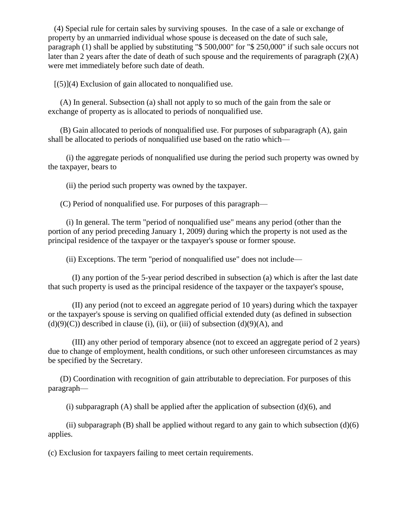(4) Special rule for certain sales by surviving spouses. In the case of a sale or exchange of property by an unmarried individual whose spouse is deceased on the date of such sale, paragraph (1) shall be applied by substituting "\$ 500,000" for "\$ 250,000" if such sale occurs not later than 2 years after the date of death of such spouse and the requirements of paragraph (2)(A) were met immediately before such date of death.

 $[(5)](4)$  Exclusion of gain allocated to nonqualified use.

 (A) In general. Subsection (a) shall not apply to so much of the gain from the sale or exchange of property as is allocated to periods of nonqualified use.

 (B) Gain allocated to periods of nonqualified use. For purposes of subparagraph (A), gain shall be allocated to periods of nonqualified use based on the ratio which—

 (i) the aggregate periods of nonqualified use during the period such property was owned by the taxpayer, bears to

(ii) the period such property was owned by the taxpayer.

(C) Period of nonqualified use. For purposes of this paragraph—

 (i) In general. The term "period of nonqualified use" means any period (other than the portion of any period preceding January 1, 2009) during which the property is not used as the principal residence of the taxpayer or the taxpayer's spouse or former spouse.

(ii) Exceptions. The term "period of nonqualified use" does not include—

 (I) any portion of the 5-year period described in subsection (a) which is after the last date that such property is used as the principal residence of the taxpayer or the taxpayer's spouse,

 (II) any period (not to exceed an aggregate period of 10 years) during which the taxpayer or the taxpayer's spouse is serving on qualified official extended duty (as defined in subsection  $(d)(9)(C)$ ) described in clause (i), (ii), or (iii) of subsection  $(d)(9)(A)$ , and

 (III) any other period of temporary absence (not to exceed an aggregate period of 2 years) due to change of employment, health conditions, or such other unforeseen circumstances as may be specified by the Secretary.

 (D) Coordination with recognition of gain attributable to depreciation. For purposes of this paragraph—

(i) subparagraph  $(A)$  shall be applied after the application of subsection  $(d)(6)$ , and

(ii) subparagraph  $(B)$  shall be applied without regard to any gain to which subsection  $(d)(6)$ applies.

(c) Exclusion for taxpayers failing to meet certain requirements.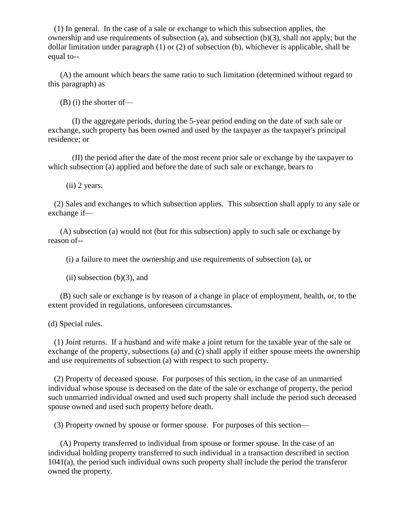(1) In general. In the case of a sale or exchange to which this subsection applies, the ownership and use requirements of subsection (a), and subsection  $(b)(3)$ , shall not apply; but the dollar limitation under paragraph (1) or (2) of subsection (b), whichever is applicable, shall be equal to--

 (A) the amount which bears the same ratio to such limitation (determined without regard to this paragraph) as

(B) (i) the shorter of—

 (I) the aggregate periods, during the 5-year period ending on the date of such sale or exchange, such property has been owned and used by the taxpayer as the taxpayer's principal residence; or

 (II) the period after the date of the most recent prior sale or exchange by the taxpayer to which subsection (a) applied and before the date of such sale or exchange, bears to

(ii) 2 years.

 (2) Sales and exchanges to which subsection applies. This subsection shall apply to any sale or exchange if—

 (A) subsection (a) would not (but for this subsection) apply to such sale or exchange by reason of--

(i) a failure to meet the ownership and use requirements of subsection (a), or

 $(ii)$  subsection  $(b)(3)$ , and

 (B) such sale or exchange is by reason of a change in place of employment, health, or, to the extent provided in regulations, unforeseen circumstances.

(d) Special rules.

 (1) Joint returns. If a husband and wife make a joint return for the taxable year of the sale or exchange of the property, subsections (a) and (c) shall apply if either spouse meets the ownership and use requirements of subsection (a) with respect to such property.

 (2) Property of deceased spouse. For purposes of this section, in the case of an unmarried individual whose spouse is deceased on the date of the sale or exchange of property, the period such unmarried individual owned and used such property shall include the period such deceased spouse owned and used such property before death.

(3) Property owned by spouse or former spouse. For purposes of this section—

 (A) Property transferred to individual from spouse or former spouse. In the case of an individual holding property transferred to such individual in a transaction described in section 1041(a), the period such individual owns such property shall include the period the transferor owned the property.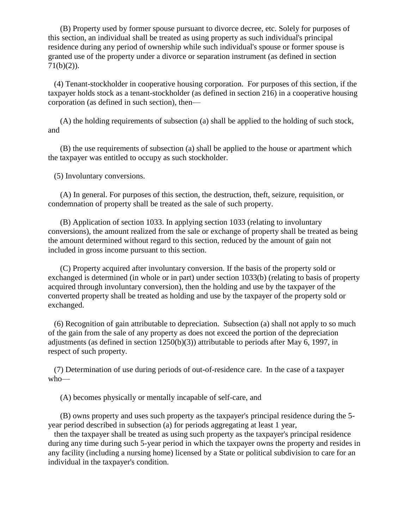(B) Property used by former spouse pursuant to divorce decree, etc. Solely for purposes of this section, an individual shall be treated as using property as such individual's principal residence during any period of ownership while such individual's spouse or former spouse is granted use of the property under a divorce or separation instrument (as defined in section 71(b)(2)).

 (4) Tenant-stockholder in cooperative housing corporation. For purposes of this section, if the taxpayer holds stock as a tenant-stockholder (as defined in section 216) in a cooperative housing corporation (as defined in such section), then—

 (A) the holding requirements of subsection (a) shall be applied to the holding of such stock, and

 (B) the use requirements of subsection (a) shall be applied to the house or apartment which the taxpayer was entitled to occupy as such stockholder.

(5) Involuntary conversions.

 (A) In general. For purposes of this section, the destruction, theft, seizure, requisition, or condemnation of property shall be treated as the sale of such property.

 (B) Application of section 1033. In applying section 1033 (relating to involuntary conversions), the amount realized from the sale or exchange of property shall be treated as being the amount determined without regard to this section, reduced by the amount of gain not included in gross income pursuant to this section.

 (C) Property acquired after involuntary conversion. If the basis of the property sold or exchanged is determined (in whole or in part) under section 1033(b) (relating to basis of property acquired through involuntary conversion), then the holding and use by the taxpayer of the converted property shall be treated as holding and use by the taxpayer of the property sold or exchanged.

 (6) Recognition of gain attributable to depreciation. Subsection (a) shall not apply to so much of the gain from the sale of any property as does not exceed the portion of the depreciation adjustments (as defined in section 1250(b)(3)) attributable to periods after May 6, 1997, in respect of such property.

 (7) Determination of use during periods of out-of-residence care. In the case of a taxpayer who—

(A) becomes physically or mentally incapable of self-care, and

 (B) owns property and uses such property as the taxpayer's principal residence during the 5 year period described in subsection (a) for periods aggregating at least 1 year,

 then the taxpayer shall be treated as using such property as the taxpayer's principal residence during any time during such 5-year period in which the taxpayer owns the property and resides in any facility (including a nursing home) licensed by a State or political subdivision to care for an individual in the taxpayer's condition.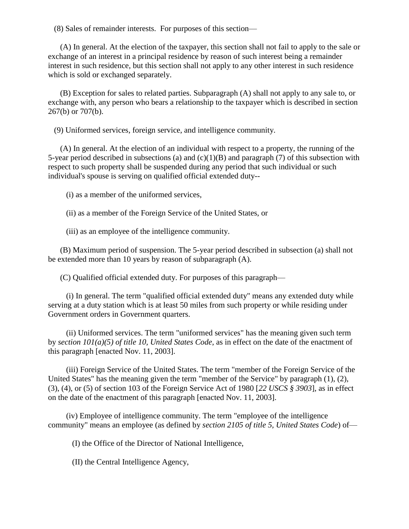(8) Sales of remainder interests. For purposes of this section—

 (A) In general. At the election of the taxpayer, this section shall not fail to apply to the sale or exchange of an interest in a principal residence by reason of such interest being a remainder interest in such residence, but this section shall not apply to any other interest in such residence which is sold or exchanged separately.

 (B) Exception for sales to related parties. Subparagraph (A) shall not apply to any sale to, or exchange with, any person who bears a relationship to the taxpayer which is described in section 267(b) or 707(b).

(9) Uniformed services, foreign service, and intelligence community.

 (A) In general. At the election of an individual with respect to a property, the running of the 5-year period described in subsections (a) and  $(c)(1)(B)$  and paragraph (7) of this subsection with respect to such property shall be suspended during any period that such individual or such individual's spouse is serving on qualified official extended duty--

(i) as a member of the uniformed services,

(ii) as a member of the Foreign Service of the United States, or

(iii) as an employee of the intelligence community.

 (B) Maximum period of suspension. The 5-year period described in subsection (a) shall not be extended more than 10 years by reason of subparagraph (A).

(C) Qualified official extended duty. For purposes of this paragraph—

 (i) In general. The term "qualified official extended duty" means any extended duty while serving at a duty station which is at least 50 miles from such property or while residing under Government orders in Government quarters.

 (ii) Uniformed services. The term "uniformed services" has the meaning given such term by *section 101(a)(5) of title 10, United States Code*, as in effect on the date of the enactment of this paragraph [enacted Nov. 11, 2003].

 (iii) Foreign Service of the United States. The term "member of the Foreign Service of the United States" has the meaning given the term "member of the Service" by paragraph (1), (2), (3), (4), or (5) of section 103 of the Foreign Service Act of 1980 [*22 USCS § 3903*], as in effect on the date of the enactment of this paragraph [enacted Nov. 11, 2003].

 (iv) Employee of intelligence community. The term "employee of the intelligence community" means an employee (as defined by *section 2105 of title 5, United States Code*) of—

(I) the Office of the Director of National Intelligence,

(II) the Central Intelligence Agency,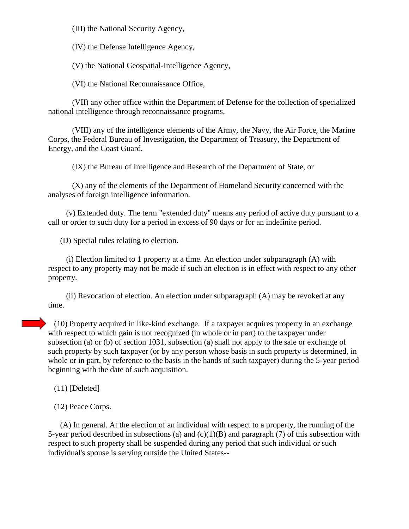(III) the National Security Agency,

(IV) the Defense Intelligence Agency,

(V) the National Geospatial-Intelligence Agency,

(VI) the National Reconnaissance Office,

 (VII) any other office within the Department of Defense for the collection of specialized national intelligence through reconnaissance programs,

 (VIII) any of the intelligence elements of the Army, the Navy, the Air Force, the Marine Corps, the Federal Bureau of Investigation, the Department of Treasury, the Department of Energy, and the Coast Guard,

(IX) the Bureau of Intelligence and Research of the Department of State, or

 (X) any of the elements of the Department of Homeland Security concerned with the analyses of foreign intelligence information.

 (v) Extended duty. The term "extended duty" means any period of active duty pursuant to a call or order to such duty for a period in excess of 90 days or for an indefinite period.

(D) Special rules relating to election.

 (i) Election limited to 1 property at a time. An election under subparagraph (A) with respect to any property may not be made if such an election is in effect with respect to any other property.

 (ii) Revocation of election. An election under subparagraph (A) may be revoked at any time.

 (10) Property acquired in like-kind exchange. If a taxpayer acquires property in an exchange with respect to which gain is not recognized (in whole or in part) to the taxpayer under subsection (a) or (b) of section 1031, subsection (a) shall not apply to the sale or exchange of such property by such taxpayer (or by any person whose basis in such property is determined, in whole or in part, by reference to the basis in the hands of such taxpayer) during the 5-year period beginning with the date of such acquisition.

(11) [Deleted]

(12) Peace Corps.

 (A) In general. At the election of an individual with respect to a property, the running of the 5-year period described in subsections (a) and  $(c)(1)(B)$  and paragraph (7) of this subsection with respect to such property shall be suspended during any period that such individual or such individual's spouse is serving outside the United States--